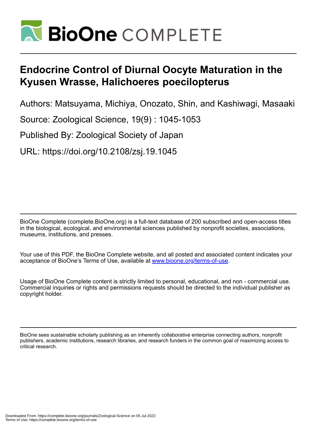

# **Endocrine Control of Diurnal Oocyte Maturation in the Kyusen Wrasse, Halichoeres poecilopterus**

Authors: Matsuyama, Michiya, Onozato, Shin, and Kashiwagi, Masaaki

Source: Zoological Science, 19(9) : 1045-1053

Published By: Zoological Society of Japan

URL: https://doi.org/10.2108/zsj.19.1045

BioOne Complete (complete.BioOne.org) is a full-text database of 200 subscribed and open-access titles in the biological, ecological, and environmental sciences published by nonprofit societies, associations, museums, institutions, and presses.

Your use of this PDF, the BioOne Complete website, and all posted and associated content indicates your acceptance of BioOne's Terms of Use, available at www.bioone.org/terms-of-use.

Usage of BioOne Complete content is strictly limited to personal, educational, and non - commercial use. Commercial inquiries or rights and permissions requests should be directed to the individual publisher as copyright holder.

BioOne sees sustainable scholarly publishing as an inherently collaborative enterprise connecting authors, nonprofit publishers, academic institutions, research libraries, and research funders in the common goal of maximizing access to critical research.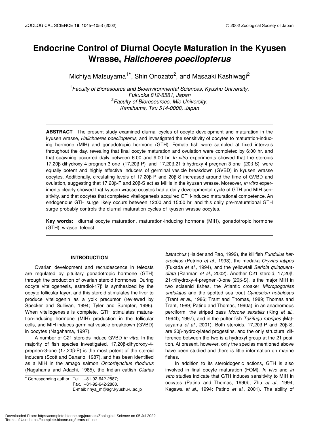# **Endocrine Control of Diurnal Oocyte Maturation in the Kyusen Wrasse,** *Halichoeres poecilopterus*

Michiya Matsuyama<sup>1\*</sup>, Shin Onozato<sup>2</sup>, and Masaaki Kashiwagi<sup>2</sup>

1 *Faculty of Bioresource and Bioenvironmental Sciences, Kyushu University, Fukuoka 812-8581, Japan* 2 *Faculty of Bioresources, Mie University, Kamihama, Tsu 514-0008, Japan*

**ABSTRACT**—The present study examined diurnal cycles of oocyte development and maturation in the kyusen wrasse, *Halichoeres poecilopterus*, and investigated the sensitivity of oocytes to maturation-inducing hormone (MIH) and gonadotropic hormone (GTH). Female fish were sampled at fixed intervals throughout the day, revealing that final oocyte maturation and ovulation were completed by 6:00 hr, and that spawning occurred daily between 6:00 and 9:00 hr. *In vitro* experiments showed that the steroids 17,20β-dihydroxy-4-pregnen-3-one (17,20β-P) and 17,20β,21-trihydroxy-4-pregnen-3-one (20β-S) were equally potent and highly effective inducers of germinal vesicle breakdown (GVBD) in kyusen wrasse oocytes. Additionally, circulating levels of 17,20β-P and 20β-S increased around the time of GVBD and ovulation, suggesting that 17,20β-P and 20β-S act as MIHs in the kyusen wrasse. Moreover, *in vitro* experiments clearly showed that kyusen wrasse oocytes had a daily developmental cycle of GTH and MIH sensitivity, and that oocytes that completed vitellogenesis acquired GTH-induced maturational competence. An endogenous GTH surge likely occurs between 12:00 and 15:00 hr, and this daily pre-maturational GTH surge probably controls the diurnal maturation cycles of kyusen wrasse oocytes.

**Key words:** diurnal oocyte maturation, maturation-inducing hormone (MIH), gonadotropic hormone (GTH), wrasse, teleost

# **INTRODUCTION**

Ovarian development and recrudescence in teleosts are regulated by pituitary gonadotropic hormone (GTH) through the production of ovarian steroid hormones. During oocyte vitellogenesis, estradiol-17β is synthesized by the oocyte follicular layer, and this steroid stimulates the liver to produce vitellogenin as a yolk precursor (reviewed by Specker and Sullivan, 1994; Tyler and Sumpter, 1996). When vitellogenesis is complete, GTH stimulates maturation-inducing hormone (MIH) production in the follicular cells, and MIH induces germinal vesicle breakdown (GVBD) in oocytes (Nagahama, 1997).

A number of C21 steroids induce GVBD *in vitro*. In the majority of fish species investigated, 17,20β-dihydroxy-4 pregnen-3-one (17,20β-P) is the most potent of the steroid inducers (Scott and Canario, 1987), and has been identified as a MIH in the amago salmon *Oncorhynchus rhodurus* (Nagahama and Adachi, 1985), the Indian catfish *Clarias*

\* Corresponding author: Tel. +81-92-642-2887; Fax. +81-92-642-2888.

*batrachus* (Haider and Rao, 1992), the killifish *Fundulus heteroclitus* (Petrino *et al.,* 1993), the medaka *Oryzias latipes* (Fukada *et al.*, 1994), and the yellowtail *Seriola quinqueradiata* (Rahman *et al.*, 2002). Another C21 steroid, 17,20β, 21-trihydroxy-4-pregnen-3-one (20β-S), is the major MIH in two sciaenid fishes, the Atlantic croaker *Micropogonias undulatus* and the spotted sea trout *Cynoscion nebulosus* (Trant *et al.*, 1986; Trant and Thomas, 1989; Thomas and Trant, 1989; Patino and Thomas, 1990a), in an anadromous perciform, the striped bass *Morone saxatilis* (King *et al.*, 1994b; 1997), and in the puffer fish *Takifugu rubripes (*Matsuyama *et al*., 2001). Both steroids, 17,20β-P and 20β-S, are 20β-hydroxylated progestins, and the only structural difference between the two is a hydroxyl group at the 21 position. At present, however, only the species mentioned above have been studied and there is little information on marine fishes.

In addition to its steroidogenic actions, GTH is also involved in final oocyte maturation (FOM). *In vivo* and *in vitro* studies indicate that GTH induces sensitivity to MIH in oocytes (Patino and Thomas, 1990b; Zhu *et al*., 1994; Kagawa *et al.*, 1994; Patino *et al*., 2001). The ability of

E-mail: rinya\_m@agr.kyushu-u.ac.jp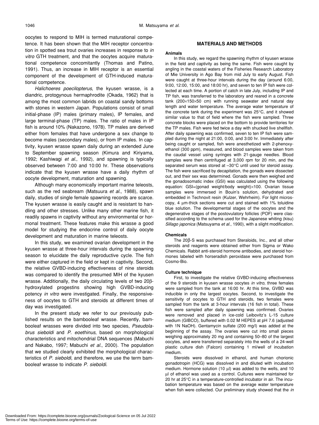oocytes to respond to MIH is termed maturational competence. It has been shown that the MIH receptor concentration in spotted sea trout ovaries increases in response to *in vitro* GTH treatment, and that the oocytes acquire maturational competence concomitantly (Thomas and Patino, 1991). Thus, an increase in MIH receptor is an essential component of the development of GTH-induced maturational competence.

*Halichoeres poecilopterus*, the kyusen wrasse, is a diandric, protogynous hermaphrodite (Okada, 1962) that is among the most common labrids on coastal sandy bottoms with stones in western Japan. Populations consist of small initial-phase (IP) males (primary males), IP females, and large terminal-phase (TP) males. The ratio of males in IP fish is around 10% (Nakazono, 1978). TP males are derived either from females that have undergone a sex change to become males (secondary males), or from IP males. In captivity, kyusen wrasse spawn daily during an extended June to September spawning season (Kimura and Kiriyama, 1992; Kashiwagi *et al*., 1992), and spawning is typically observed between 7:00 and 10:00 hr. These observations indicate that the kyusen wrasse have a daily rhythm of oocyte development, maturation and spawning.

Although many economically important marine teleosts, such as the red seabream (Matsuura *et al*., 1988), spawn daily, studies of single female spawning records are scarce. The kyusen wrasse is easily caught and is resistant to handling and other stresses. Unlike many other marine fish, it readily spawns in captivity without any environmental or hormonal treatment. These features make this wrasse a good model for studying the endocrine control of daily oocyte development and maturation in marine teleosts.

In this study, we examined ovarian development in the kyusen wrasse at three-hour intervals during the spawning season to elucidate the daily reproductive cycle. The fish were either captured in the field or kept in captivity. Second, the relative GVBD-inducing effectiveness of nine steroids was compared to identify the presumed MIH of the kyusen wrasse. Additionally, the daily circulating levels of two 20βhydroxylated progestins showing high GVBD-inducing potency *in vitro* were investigated. Finally, the responsiveness of oocytes to GTH and steroids at different times of day was investigated.

In the present study we refer to our previously published results on the bambooleaf wrasse. Recently, bambooleaf wrasses were divided into two species, *Pseudolabrus sieboldi* and *P. eoethinus*, based on morphological characteristics and mitochondrial DNA sequences (Mabuchi and Nakabo, 1997; Mabuchi *et al.*, 2000). The population that we studied clearly exhibited the morphological characteristics of *P. sieboldi*, and therefore, we use the term bambooleaf wrasse to indicate *P. sieboldi*.

# **MATERIALS AND METHODS**

# **Animals**

In this study, we regard the spawning rhythm of kyusen wrasse in the field and captivity as being the same. Fish were caught by angling in the coastal waters of the Fisheries Research Laboratory of Mie University in Ago Bay from mid July to early August. Fish were caught at three-hour intervals during the day (around 6:00, 9:00, 12:00, 15:00, and 18:00 hr), and seven to ten IP fish were collected at each time. A portion of catch in late July, including IP and TP fish, was transferred to the laboratory and reared in a concrete tank (200×150×50 cm) with running seawater and natural day length and water temperature. The average water temperature of the concrete tank during the experiment was 25°C, and it showed similar value to that of field where the fish were sampled. Three concrete blocks were placed on the bottom to provide territories for the TP males. Fish were fed twice a day with shucked live shellfish. After daily spawning was confirmed, seven to ten IP fish were sampled during the night at 21:00, 0:00, and 3:00 hr. Immediately after being caught or sampled, fish were anesthetized with 2-phenoxyethanol (300 ppm), measured, and blood samples were taken from the caudal vessel using syringes with 21-gauge needles. Blood samples were then centrifuged at 3,000 rpm for 20 min, and the separated serum was stored at –30°C until used for steroid assay. The fish were sacrificed by decapitation, the gonads were dissected out, and their sex was determined. Gonads were then weighed and the gonadosomatic index (GSI) was calculated using the following equation: GSI=(gonad weight/body weight)×100. Ovarian tissue samples were immersed in Bouin's solution, dehydrated and embedded in Technovit resin (Kulzer, Wehrheim). For light microscopy, 4 µm-thick sections were cut and stained with 1% toluidine blue solution. The developmental stages of the oocytes and the degenerative stages of the postovulatory follicles (POF) were classified according to the schema used for the Japanese whiting (kisu) *Sillago japonica* (Matsuyama *et al*., 1990), with a slight modification.

#### **Chemicals**

The 20β-S was purchased from Steraloids, Inc., and all other steroids and reagents were obtained either from Sigma or Wako Chemicals. Rabbit anti-steroid hormone antibodies, and steroid hormones labeled with horseradish peroxidase were purchased from Cosmo-Bio.

#### **Culture technique**

First, to investigate the relative GVBD-inducing effectiveness of the 9 steroids in kyusen wrasse oocytes *in vitro*, three females were sampled from the tank at 16:00 hr. At this time, GVBD was inducible in only the largest oocytes. Second, to investigate the sensitivity of oocytes to GTH and steroids, two females were sampled from the tank at 3-hour intervals (16 fish in total). These fish were sampled after daily spawning was confirmed. Ovaries were removed and placed in ice-cold Leibovitz's L-15 culture medium (GIBCO), buffered with 0.02 M HEPES at pH 7.6 (adjusted with 1N NaOH). Gentamycin sulfate (200 mg/l) was added at the beginning of the assay. The ovaries were cut into small pieces weighing approximately 20 mg and containing 50–80 of the largest oocytes, and were transferred separately into the wells of a 24-well plastic culture dish (Falcon) containing 1 ml/well of incubation medium.

Steroids were dissolved in ethanol, and human chorionic gonadotropin (HCG) was dissolved in and diluted with incubation medium. Hormone solution (10 µl) was added to the wells, and 10 µl of ethanol was used as a control. Cultures were maintained for 20 hr at 25°C in a temperature-controlled incubator in air. The incubation temperature was based on the average water temperature when fish were collected. Our preliminary study showed that the *in*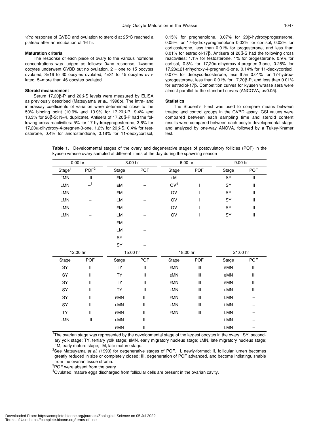*vitro* response of GVBD and ovulation to steroid at 25°C reached a plateau after an incubation of 16 hr.

#### **Maturation criteria**

The response of each piece of ovary to the various hormone concentrations was judged as follows: 0=no response, 1=some oocytes underwent GVBD but no ovulation,  $2 =$  one to 15 oocytes ovulated, 3=16 to 30 oocytes ovulated, 4=31 to 45 oocytes ovulated, 5=more than 46 oocytes ovulated.

#### **Steroid measurement**

Serum 17,20β-P and 20β-S levels were measured by ELISA as previously described (Matsuyama *et al*., 1998b). The intra- and interassay coefficients of variation were determined close to the 50% binding point (10.9% and 13.9% for 17,20β-P; 9.4% and 13.3% for 20β-S; N=4, duplicate). Antisera of 17,20β-P had the following cross reactivities: 5% for 17-hydroxyprogesterone, 3.6% for 17,20α-dihydroxy-4-pregnen-3-one, 1.2% for 20β-S, 0.4% for testosterone, 0.4% for androstendione, 0.18% for 11-deoxycortisol, 0.15% for pregnenolone, 0.07% for 20β-hydroxyprogesterone, 0.05% for 17-hydroxypregnenolone 0.02% for cortisol, 0.02% for corticosterone, less than 0.01% for progesterone, and less than 0.01% for estradiol-17β. Antisera of 20β-S had the following cross reactivities: 1.1% for testosterone, 1% for progesterone, 0.9% for cortisol,  $0.8\%$  for  $17,20\alpha$ -dihydroxy-4-pregnen-3-one,  $0.28\%$  for 17,20α,21-trihydroxy-4-pregnen-3-one, 0.14% for 11-deoxycortisol, 0.07% for deoxycorticosterone, less than 0.01% for 17-hydroxyprogesterone, less than 0.01% for 17,20β-P, and less than 0.01% for estradiol-17β. Competition curves for kyusen wrasse sera were almost parallel to the standard curves (ANCOVA, p>0.05).

#### **Statistics**

The Student's t-test was used to compare means between treated and control groups in the GVBD assay. GSI values were compared between each sampling time and steroid content results were compared between each oocyte developmental stage, and analyzed by one-way ANOVA, followed by a Tukey-Kramer test.

**Table 1.** Developmental stages of the ovary and degenerative stages of postovulatory follicles (POF) in the kyusen wrasse ovary sampled at different times of the day during the spawning season

| 0:00 hr      |                            | 3:00 hr    |                                       | 6:00 hr         |                    | 9:00 hr    |                                       |  |
|--------------|----------------------------|------------|---------------------------------------|-----------------|--------------------|------------|---------------------------------------|--|
| Stage $^{1}$ | $POF^2$                    | Stage      | <b>POF</b>                            | Stage           | <b>POF</b>         | Stage      | <b>POF</b>                            |  |
| <b>EMN</b>   | Ш                          | EM         | -                                     | LM              |                    | SY         | Ш                                     |  |
| <b>LMN</b>   | $\overline{\phantom{0}}^3$ | EM         |                                       | OV <sup>4</sup> | $\overline{1}$     | SY         | $\mathsf{I}$                          |  |
| <b>LMN</b>   | -                          | EM         |                                       | OV              |                    | SY         | $\mathsf{I}$                          |  |
| LMN          |                            | EM         |                                       | OV              |                    | SY         | $\begin{array}{c} \hline \end{array}$ |  |
| <b>LMN</b>   |                            | EM         |                                       | OV              | ı                  | SY         | $\mathsf{I}$                          |  |
| LMN          |                            | EM         |                                       | OV              | I                  | SY         | $\mathbf{I}$                          |  |
|              |                            | EM         |                                       |                 |                    |            |                                       |  |
|              |                            | EM         |                                       |                 |                    |            |                                       |  |
|              |                            | SY         |                                       |                 |                    |            |                                       |  |
|              |                            | SY         |                                       |                 |                    |            |                                       |  |
| 12:00 hr     |                            |            | 15:00 hr                              |                 | 18:00 hr           |            | 21:00 hr                              |  |
| Stage        | POF                        | Stage      | POF                                   | Stage           | POF                | Stage      | <b>POF</b>                            |  |
| SY           | $\mathbf{II}$              | <b>TY</b>  | $\ensuremath{\mathsf{II}}$            | <b>EMN</b>      | Ш                  | <b>EMN</b> | Ш                                     |  |
| SY           | $\mathbf{II}$              | <b>TY</b>  | $\begin{array}{c} \hline \end{array}$ | <b>EMN</b>      | $\mathop{\rm III}$ | EMN        | $\ensuremath{\mathsf{III}}\xspace$    |  |
| SY           | $\mathbf{II}$              | <b>TY</b>  | $\mathbf{  }$                         | EMN             | $\mathop{\rm III}$ | EMN        | Ш                                     |  |
| SY           | $\mathbf{II}$              | <b>TY</b>  | $\ensuremath{\mathsf{II}}$            | EMN             | Ш                  | <b>EMN</b> | Ш                                     |  |
| SY           | $\mathbf{II}$              | <b>EMN</b> | Ш                                     | <b>EMN</b>      | Ш                  | <b>LMN</b> |                                       |  |
| SY           | $\mathbf{II}$              | EMN        | Ш                                     | EMN             | Ш                  | LMN        |                                       |  |
| <b>TY</b>    | $\mathbf{II}$              | <b>EMN</b> | Ш                                     | EMN             | $\mathop{\rm III}$ | LMN        |                                       |  |
| <b>EMN</b>   | Ш                          | <b>EMN</b> | Ш                                     |                 |                    | <b>LMN</b> |                                       |  |
|              |                            |            |                                       |                 |                    |            |                                       |  |

<sup>1</sup>The ovarian stage was represented by the developmental stage of the largest oocytes in the ovary. SY, secondary yolk stage; TY, tertiary yolk stage; EMN, early migratory nucleus stage; LMN, late migratory nucleus stage; EM, early mature stage; LM, late mature stage.

2 See Matsuyama *et al*. (1990) for degenerative stages of POF. I, newly-formed; II, follicular lumen becomes greatly reduced in size or completely closed; III, degeneration of POF advanced, and become indistinguishable from the ovarian tissue stroma.

<sup>3</sup>POF were absent from the ovary.

<sup>4</sup>Ovulated; mature eggs discharged from follicular cells are present in the ovarian cavity.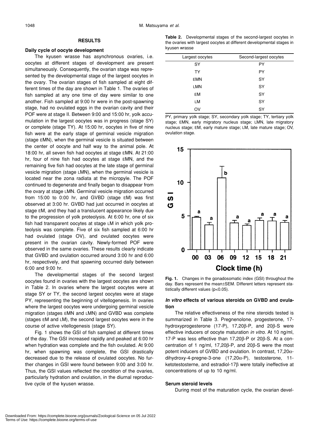# **RESULTS**

# **Daily cycle of oocyte development**

The kyusen wrasse has asynchronous ovaries, i.e. oocytes at different stages of development are present simultaneously. Consequently, the ovarian stage was represented by the developmental stage of the largest oocytes in the ovary. The ovarian stages of fish sampled at eight different times of the day are shown in Table 1. The ovaries of fish sampled at any one time of day were similar to one another. Fish sampled at 9:00 hr were in the post-spawning stage, had no ovulated eggs in the ovarian cavity and their POF were at stage II. Between 9:00 and 15:00 hr, yolk accumulation in the largest oocytes was in progress (stage SY) or complete (stage TY). At 15:00 hr, oocytes in five of nine fish were at the early stage of germinal vesicle migration (stage EMN), when the germinal vesicle is situated between the center of oocyte and half way to the animal pole. At 18:00 hr, all seven fish had oocytes at stage EMN. At 21:00 hr, four of nine fish had oocytes at stage EMN, and the remaining five fish had oocytes at the late stage of germinal vesicle migration (stage LMN), when the germinal vesicle is located near the zona radiata at the micropyle. The POF continued to degenerate and finally began to disappear from the ovary at stage LMN. Germinal vesicle migration occurred from 15:00 to 0:00 hr, and GVBD (stage EM) was first observed at 3:00 hr. GVBD had just occurred in oocytes at stage EM, and they had a translucent appearance likely due to the progression of yolk proteolysis. At 6:00 hr, one of six fish had transparent oocytes at stage LM in which yolk proteolysis was complete. Five of six fish sampled at 6:00 hr had ovulated (stage OV), and ovulated oocytes were present in the ovarian cavity. Newly-formed POF were observed in the same ovaries. These results clearly indicate that GVBD and ovulation occurred around 3:00 hr and 6:00 hr, respectively, and that spawning occurred daily between 6:00 and 9:00 hr.

The developmental stages of the second largest oocytes found in ovaries with the largest oocytes are shown in Table 2. In ovaries where the largest oocytes were at stage SY or TY, the second largest oocytes were at stage PY, representing the beginning of vitellogenesis. In ovaries where the largest oocytes were undergoing germinal vesicle migration (stages EMN and LMN) and GVBD was complete (stages EM and LM), the second largest oocytes were in the course of active vitellogenesis (stage SY).

Fig. 1 shows the GSI of fish sampled at different times of the day. The GSI increased rapidly and peaked at 6:00 hr when hydration was complete and the fish ovulated. At 9:00 hr, when spawning was complete, the GSI drastically decreased due to the release of ovulated oocytes. No further changes in GSI were found between 9:00 and 3:00 hr. Thus, the GSI values reflected the condition of the ovaries, particularly hydration and ovulation, in the diurnal reproductive cycle of the kyusen wrasse.

**Table 2.** Developmental stages of the second-largest oocytes in the ovaries with largest oocytes at different developmental stages in kyusen wrasse

| Largest oocytes | Second-largest oocytes |
|-----------------|------------------------|
| SY              | PY                     |
| <b>TY</b>       | PY                     |
| <b>EMN</b>      | SY                     |
| LMN             | SY                     |
| EM              | SY                     |
| LM              | SY                     |
| OV              | SY                     |

PY, primary yolk stage; SY, secondary yolk stage; TY, tertiary yolk stage; EMN, early migratory nucleus stage; LMN, late migratory nucleus stage; EM, early mature stage; LM, late mature stage; OV, ovulation stage.



**Fig. 1.** Changes in the gonadosomatic index (GSI) throughout the day. Bars represent the mean±SEM. Different letters represent statistically different values (p<0.05).

# *In vitro* **effects of various steroids on GVBD and ovulation**

The relative effectiveness of the nine steroids tested is summarized in Table 3. Pregnenolone, progesterone, 17 hydroxyprogesterone (17-P), 17,20β-P, and 20β-S were effective inducers of oocyte maturation *in vitro*. At 10 ng/ml, 17-P was less effective than 17,20β-P or 20β-S. At a concentration of 1 ng/ml, 17,20β-P, and 20β-S were the most potent inducers of GVBD and ovulation. In contrast, 17,20αdihydroxy-4-pregne-3-one (17,20α-P), testosterone, 11 ketotestosterne, and estradiol-17β were totally ineffective at concentrations of up to 10 ng/ml.

# **Serum steroid levels**

During most of the maturation cycle, the ovarian devel-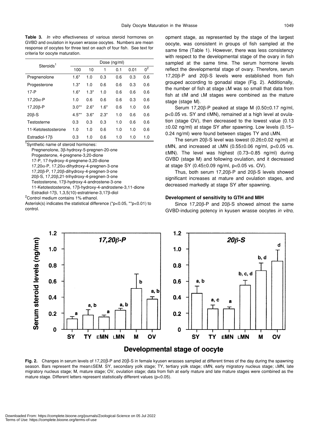**Table 3.** *In vitro* effectiveness of various steroid hormones on GVBD and ovulation in kyusen wrasse oocytes. Numbers are mean response of oocytes for three test on each of four fish. See text for criteria for oocyte maturation.

| Steroids <sup>1</sup> | Dose (ng/ml) |        |        |     |      |                |  |  |
|-----------------------|--------------|--------|--------|-----|------|----------------|--|--|
|                       | 100          | 10     | 1      | 0.1 | 0.01 | 0 <sup>2</sup> |  |  |
| Pregnenolone          | $1.6*$       | 1.0    | 0.3    | 0.6 | 0.3  | 0.6            |  |  |
| Progesterone          | $1.3*$       | 1.0    | 0.6    | 0.6 | 0.3  | 0.6            |  |  |
| $17 - P$              | $1.6*$       | $1.3*$ | 1.0    | 0.6 | 0.6  | 0.6            |  |  |
| 17,20 $\alpha$ -P     | 1.0          | 0.6    | 0.6    | 0.6 | 0.3  | 0.6            |  |  |
| $17,20\beta - P$      | $3.0**$      | $2.6*$ | $1.6*$ | 0.6 | 1.0  | 0.6            |  |  |
| $20\beta-S$           | $4.5***$     | $3.6*$ | $2.3*$ | 1.0 | 0.6  | 0.6            |  |  |
| Testosterne           | 0.3          | 0.3    | 0.3    | 1.0 | 0.6  | 0.6            |  |  |
| 11-Ketotestosterone   | 1.0          | 1.0    | 0.6    | 1.0 | 1.0  | 0.6            |  |  |
| Estradiol-17 $\beta$  | 0.3          | 1.0    | 0.6    | 1.0 | 1.0  | 1.0            |  |  |

<sup>1</sup>Synthetic name of steroid hormones:

Pregnenolone, 3β-hydroxy-5-pregnen-20-one Progesterone, 4-pregnene-3,20-dione 17-P, 17-hydroxy-4-pregnene-3,20-dione 17,20α-P, 17,20α-dihydroxy-4-pregnen-3-one 17,20β-P, 17,20β-dihydroxy-4-pregnen-3-one 20β-S, 17,20β,21-trihydroxy-4-pregnen-3-one Testosterone, 17β-hydroxy-4-androstene-3-one 11-Ketotestosterone, 17β-hydroxy-4-androstene-3,11-dione Estradiol-17β, 1,3,5(10)-estratriene-3,17β-diol <sup>2</sup> Control medium contains 1% ethanol.

Asterisk(s) indicates the statistical difference (\*p<0.05, \*\*p<0.01) to control.

opment stage, as represented by the stage of the largest oocyte, was consistent in groups of fish sampled at the same time (Table 1). However, there was less consistency with respect to the developmental stage of the ovary in fish sampled at the same time. The serum hormone levels reflect the developmental stage of ovary. Therefore, serum 17,20β-P and 20β-S levels were established from fish grouped according to gonadal stage (Fig. 2). Additionally, the number of fish at stage LM was so small that data from fish at EM and LM stages were combined as the mature stage (stage M).

Serum 17,20β-P peaked at stage M (0.50±0.17 ng/ml, p<0.05 vs. SY and EMN), remained at a high level at ovulation (stage OV), then decreased to the lowest value (0.13 ±0.02 ng/ml) at stage SY after spawning. Low levels (0.15– 0.24 ng/ml) were found between stages TY and LMN.

The serum 20β-S level was lowest (0.26±0.02 ng/ml) at EMN, and increased at LMN (0.55 $\pm$ 0.06 ng/ml, p<0.05 vs. EMN). The level was highest (0.73–0.85 ng/ml) during GVBD (stage M) and following ovulation, and it decreased at stage SY (0.45±0.09 ng/ml, p<0.05 vs. OV).

Thus, both serum 17,20β-P and 20β-S levels showed significant increases at mature and ovulation stages, and decreased markedly at stage SY after spawning.

# **Development of sensitivity to GTH and MIH**

Since 17,20β-P and 20β-S showed almost the same GVBD-inducing potency in kyusen wrasse oocytes *in vitro*,



# Developmental stage of oocyte

**Fig. 2.** Changes in serum levels of 17,20β-P and 20β-S in female kyusen wrasses sampled at different times of the day during the spawning season. Bars represent the mean±SEM. SY, secondary yolk stage; TY, tertiary yolk stage; EMN, early migratory nucleus stage; LMN, late migratory nucleus stage; M, mature stage; OV, ovulation stage; data from fish at early mature and late mature stages were combined as the mature stage. Different letters represent statistically different values (p<0.05).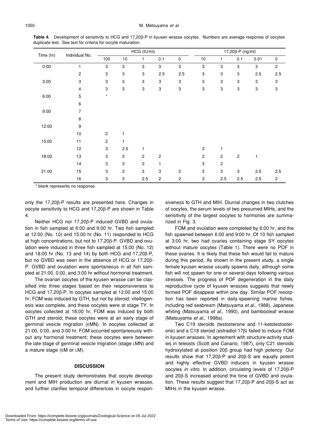| Time (hr) | Individual No.          | HCG (IU/ml)               |     |              |                | $17,20\beta$ -P (ng/ml) |                           |                |                           |      |             |
|-----------|-------------------------|---------------------------|-----|--------------|----------------|-------------------------|---------------------------|----------------|---------------------------|------|-------------|
|           |                         | 100                       | 10  | 1            | 0.1            | $\mathsf 0$             | $10$                      | 1              | 0.1                       | 0.01 | $\mathbf 0$ |
| 0:00      |                         | 3                         | 3   | 3            | 3              | $\sqrt{3}$              | $\ensuremath{\mathsf{3}}$ | 3              | 3                         | 3    | $\mathbf 2$ |
|           | $\overline{\mathbf{c}}$ | $\ensuremath{\mathsf{3}}$ | 3   | 3            | $2.5\,$        | 2.5                     | $\ensuremath{\mathsf{3}}$ | 3              | 3                         | 2.5  | 2.5         |
| 3:00      | 3                       | 3                         | 3   | 3            | 3              | 3                       | $\ensuremath{\mathsf{3}}$ | 3              | 3                         | 3    | 3           |
|           | $\overline{4}$          | 3                         | 3   | 3            | 3              | 3                       | $\ensuremath{\mathsf{3}}$ | 3              | $\ensuremath{\mathsf{3}}$ | 3    | 3           |
| 6:00      | 5                       | $\star$                   |     |              |                |                         |                           |                |                           |      |             |
|           | $\,6$                   |                           |     |              |                |                         |                           |                |                           |      |             |
| 9:00      | 7                       |                           |     |              |                |                         |                           |                |                           |      |             |
|           | 8                       |                           |     |              |                |                         |                           |                |                           |      |             |
| 12:00     | 9                       |                           |     |              |                |                         |                           |                |                           |      |             |
|           | $10$                    | $\mathbf{2}$              | 1   |              |                |                         |                           |                |                           |      |             |
| 15:00     | 11                      | $\mathbf{2}$              | 1   |              |                |                         |                           |                |                           |      |             |
|           | 12                      | 3                         | 2.5 | 1            |                |                         | $\mathbf{2}$              |                |                           |      |             |
| 18:00     | 13                      | 3                         | 3   | $\mathbf{2}$ | $\overline{c}$ |                         | $\sqrt{2}$                | $\overline{c}$ | $\overline{c}$            | 1    |             |
|           | 14                      | 3                         | 3   | 2            | 1              |                         | $\ensuremath{\mathsf{3}}$ | 2              |                           |      |             |
| 21:00     | 15                      | 3                         | 3   | 3            | 3              | $\mathbf 2$             | $\ensuremath{\mathsf{3}}$ | 3              | 3                         | 2.5  | 2.5         |
|           | 16                      | 3                         | 3   | 2.5          | $\overline{c}$ | 2                       | 3                         | 2.5            | 2.5                       | 2.5  | 2           |

**Table 4.** Development of sensitivity to HCG and 17,20β-P in kyusen wrasse oocytes. Numbers are average response of oocytes duplicate test. See text for criteria for oocyte maturation.

\* blank represents no response.

only the 17,20β-P results are presented here. Changes in oocyte sensitivity to HCG and 17,20β-P are shown in Table 4.

Neither HCG nor 17,20β-P induced GVBD and ovulation in fish sampled at 6:00 and 9:00 hr. Two fish sampled at 12:00 (No. 10) and 15:00 hr (No. 11) responded to HCG at high concentrations, but not to 17,20β-P. GVBD and ovulation were induced in three fish sampled at 15:00 (No. 12) and 18:00 hr (No. 13 and 14) by both HCG and 17,20β-P, but no GVBD was seen in the absence of HCG or 17,20β-P. GVBD and ovulation were spontaneous in all fish sampled at 21:00, 0:00, and 3:00 hr without hormonal treatment.

The ovarian oocytes of the kyusen wrasse can be classified into three stages based on their responsiveness to HCG and 17,20β-P. In oocytes sampled at 12:00 and 15:00 hr, FOM was induced by GTH, but not by steroid; vitellogenesis was complete, and these oocytes were at stage TY. In oocytes collected at 18:00 hr, FOM was induced by both GTH and steroid; these oocytes were at an early stage of germinal vesicle migration (EMN). In oocytes collected at 21:00, 0:00, and 3:00 hr, FOM occurred spontaneously without any hormonal treatment; these oocytes were between the late stage of germinal vesicle migration (stage LMN) and a mature stage (EM or LM).

# **DISCUSSION**

The present study demonstrates that oocyte development and MIH production are diurnal in kyusen wrasses, and further clarifies temporal differences in oocyte responsiveness to GTH and MIH. Diurnal changes in two clutches of oocytes, the serum levels of two presumed MIHs, and the sensitivity of the largest oocytes to hormones are summarized in Fig. 3.

FOM and ovulation were completed by 6:00 hr, and the fish spawned between 6:00 and 9:00 hr. Of 10 fish sampled at 3:00 hr, two had ovaries containing stage SY oocytes without mature oocytes (Table 1). There were no POF in these ovaries. It is likely that these fish would fail to mature during this period. As shown in the present study, a single female kyusen wrasse usually spawns daily, although some fish will not spawn for one or several days following various stresses. The progress of POF degeneration in the daily reproductive cycle of kyusen wrasses suggests that newly formed POF disappear within one day. Similar POF resorption has been reported in daily-spawning marine fishes, including red seabream (Matsuyama *et al*., 1988), Japanese whiting (Matsuyama *et al*., 1990), and bambooleaf wrasse (Matsuyama *et al*., 1998a).

Two C19 steroids (testosterone and 11-ketotestosterone) and a C18 steroid (estradiol-17β) failed to induce FOM in kyusen wrasses. In agreement with structure-activity studies in teleosts (Scott and Canario, 1987), only C21 steroids hydroxylated at position 20β group had high potency. Our results show that 17,20β-P and 20β-S are equally potent and highly effective GVBD inducers in kyusen wrasse oocytes *in vitro*. In addition, circulating levels of 17,20β-P and 20β-S increased around the time of GVBD and ovulation. These results suggest that 17,20β-P and 20β-S act as MIHs in the kyusen wrasse.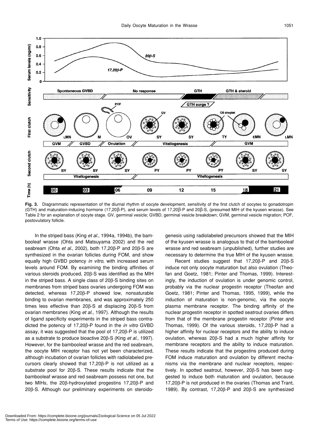

**Fig. 3.** Diagrammatic representation of the diurnal rhythm of oocyte development, sensitivity of the first clutch of oocytes to gonadotropin (GTH) and maturation-inducing hormone (17,20β-P), and serum levels of 17,20β-P and 20β-S, (presumed MIH of the kyusen wrasse). See Table 2 for an explanation of oocyte stage. GV, germinal vesicle; GVBD, germinal vesicle breakdown; GVM, germinal vesicle migration; POF, postovulatory follicle.

In the striped bass (King *et al*., 1994a, 1994b), the bambooleaf wrasse (Ohta and Matsuyama 2002) and the red seabream (Ohta *et al*., 2002), both 17,20β-P and 20β-S are synthesized in the ovarian follicles during FOM, and show equally high GVBD potency *in vitro*, with increased serum levels around FOM. By examining the binding affinities of various steroids produced, 20β-S was identified as the MIH in the striped bass. A single class of 20β-S binding sites on membranes from striped bass ovaries undergoing FOM was detected, whereas 17,20β-P showed low, nonsaturable binding to ovarian membranes, and was approximately 250 times less effective than 20β-S at displacing 20β-S from ovarian membranes (King *et al.*, 1997). Although the results of ligand specificity experiments in the striped bass contradicted the potency of 17,20β-P found in the *in vitro* GVBD assay, it was suggested that the pool of 17,20β-P is utilized as a substrate to produce bioactive 20β-S (King *et al.*, 1997). However, for the bambooleaf wrasse and the red seabream, the oocyte MIH receptor has not yet been characterized, although incubation of ovarian follicles with radiolabeled precursors clearly showed that 17,20β-P is not utilized as a substrate pool for 20β-S. These results indicate that the bambooleaf wrasse and red seabream possess not one, but two MIHs, the 20β-hydroxylated progestins 17,20β-P and 20β-S. Although our preliminary experiments on steroidogenesis using radiolabeled precursors showed that the MIH of the kyusen wrasse is analogous to that of the bambooleaf wrasse and red seabream (unpublished), further studies are necessary to determine the true MIH of the kyusen wrasse.

Recent studies suggest that 17,20β-P and 20β-S induce not only oocyte maturation but also ovulation (Theofan and Goetz, 1981; Pinter and Thomas, 1999). Interestingly, the induction of ovulation is under genomic control, probably via the nuclear progestin receptor (Theofan and Goetz, 1981; Pinter and Thomas, 1995, 1999), while the induction of maturation is non-genomic, via the oocyte plasma membrane receptor. The binding affinity of the nuclear progestin receptor in spotted seatrout ovaries differs from that of the membrane progestin receptor (Pinter and Thomas, 1999). Of the various steroids, 17,20β-P had a higher affinity for nuclear receptors and the ability to induce ovulation, whereas 20β-S had a much higher affinity for membrane receptors and the ability to induce maturation. These results indicate that the progestins produced during FOM induce maturation and ovulation by different mechanisms via the membrane and nuclear receptors, respectively. In spotted seatrout, however, 20β-S has been suggested to induce both maturation and ovulation, because 17,20β-P is not produced in the ovaries (Thomas and Trant, 1989). By contrast, 17,20β-P and 20β-S are synthesized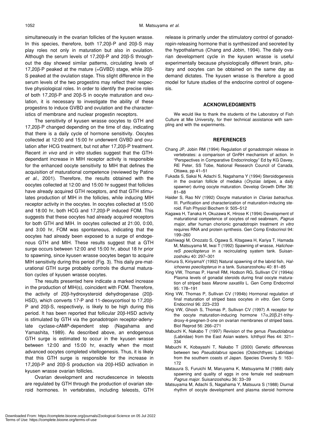simultaneously in the ovarian follicles of the kyusen wrasse. In this species, therefore, both 17,20β-P and 20β-S may play roles not only in maturation but also in ovulation. Although the serum levels of 17,20β-P and 20β-S throughout the day showed similar patterns, circulating levels of 17,20β-P peaked at the mature (=GVBD) stage, while 20β-S peaked at the ovulation stage. This slight difference in the serum levels of the two progestins may reflect their respective physiological roles. In order to identify the precise roles of both 17,20β-P and 20β-S in oocyte maturation and ovulation, it is necessary to investigate the ability of these progestins to induce GVBD and ovulation and the characteristics of membrane and nuclear progestin receptors.

The sensitivity of kyusen wrasse oocytes to GTH and 17,20β-P changed depending on the time of day, indicating that there is a daily cycle of hormone sensitivity. Oocytes collected at 12:00 and 15:00 hr underwent GVBD and ovulation after HCG treatment, but not after 17,20β-P treatment. Recent *in vivo* and *in vitro* studies suggest that the GTHdependant increase in MIH receptor activity is responsible for the enhanced oocyte sensitivity to MIH that defines the acquisition of maturational competence (reviewed by Patino *et al*., 2001). Therefore, the results obtained with the oocytes collected at 12:00 and 15:00 hr suggest that follicles have already acquired GTH receptors, and that GTH stimulates production of MIH in the follicles, while inducing MIH receptor activity in the oocytes. In oocytes collected at 15:00 and 18:00 hr, both HCG and 17,20β-P induced FOM. This suggests that these oocytes had already acquired receptors for both GTH and MIH. In oocytes collected at 21:00, 0:00, and 3:00 hr, FOM was spontaneous, indicating that the oocytes had already been exposed to a surge of endogenous GTH and MIH. These results suggest that a GTH surge occurs between 12:00 and 15:00 hr, about 18 hr prior to spawning, since kyusen wrasse oocytes began to acquire MIH sensitivity during this period (Fig. 3). This daily pre-maturational GTH surge probably controls the diurnal maturation cycles of kyusen wrasse oocytes.

The results presented here indicate a marked increase in the production of MIH(s), coincident with FOM. Therefore, the activity of 20β-hydroxysteroid dehydrogenase (20β-HSD), which converts 17-P and 11-deoxycortisol to 17,20β-P and 20β-S, respectively, is likely to be high during this period. It has been reported that follicular 20β-HSD activity is stimulated by GTH via the gonadotropin receptor-adenylate cyclase-cAMP-dependent step (Nagahama and Yamashita, 1989). As described above, an endogenous GTH surge is estimated to occur in the kyusen wrasse between 12:00 and 15:00 hr, exactly when the most advanced oocytes completed vitellogenesis. Thus, it is likely that this GTH surge is responsible for the increase in 17,20β-P and 20β-S production via 20β-HSD activation in kyusen wrasse ovarian follicles.

Ovarian development and recrudescence in teleosts are regulated by GTH through the production of ovarian steroid hormones. In vertebrates, including teleosts, GTH release is primarily under the stimulatory control of gonadotropin-releasing hormone that is synthesized and secreted by the hypothalamus (Chang and Jobin, 1994). The daily ovarian development cycle in the kyusen wrasse is useful experimentally because physiologically different brain, pituitary and oocytes can be obtained on the same day as demand dictates. The kyusen wrasse is therefore a good model for future studies of the endocrine control of oogenesis.

# **ACKNOWLEDGMENTS**

We would like to thank the students of the Laboratory of Fish Culture at Mie University, for their technical assistance with sampling and with the experiments.

# **REFERENCES**

- Chang JP, Jobin RM (1994) Regulation of gonadotropin release in vertebrates: a comparison of GnRH mechanism of action. In "Perspectives in Comparative Endocrinology" Ed by KG Davey, RE Peter, SS Tobe, National Research Council of Canada, Ottawa, pp 41–51
- Fukada S, Sakai N, Adachi S, Nagahama Y (1994) Steroidogenesis in the ovarian follicle of medaka (*Oryzias latipes*, a daily spawner) during oocyte maturation. Develop Growth Differ 36: 81–88
- Haider S, Rao NV (1992) Oocyte maturation in *Clarias batrachus*. III. Purification and characterization of maturation-inducing steroid. Fish Physiol Biochem 9: 505–512
- Kagawa H, Tanaka H, Okuzawa K, Hirose K (1994) Development of maturational competence of oocytes of red seabream, *Pagrus major*, after human chorionic gonadotropin treatment *in vitro* requires RNA and protein synthesis. Gen Comp Endocrinol 94: 199–260
- Kashiwagi M, Onozato S, Ogawa S, Kitagawa H, Kariya T, Hamada M, Matsuyama M, Iwai T (1992) Spawning of wrasse, *HalichoereS poecilopterus* in a recirculating syatem tank. Suisanzoshoku 40: 297–301
- Kimura S, KiriyamaY (1992) Natural spawning of the labrid fish, *Halichoeres poecilopterus* in a tank. Suisanzoshoku 40: 81–85
- King VW, Thomas P, Harrell RM, Hodson RG, Sullivan CV (1994a) Plasma levels of gonadal steroids during final oocyte maturation of striped bass *Marone saxatilis* L. Gen Comp Endocrinol 95: 178–191
- King VW, Thomas P, Sullivan CV (1994b) Hormonal regulation of final maturation of striped bass oocytes *in vitro*. Gen Comp Endocrinol 96: 223–233
- King VW, Ghosh S, Thomas P, Sullivan CV (1997) A receptor for the oocyte maturation-inducing hormone 17α,20β,21-trihydroxy-4-pregnen-3-one on ovarian membranes of striped bass. Biol Reprod 56: 266–271
- Mabuchi K, Nakabo T (1997) Revision of the genus *Pseudolabrus* (Labridae) from the East Asian waters. Ichthyol Res 44: 321– 334
- Mabuchi K, Kobayashi T, Nakabo T (2000) Genetic differences between two *Pseudolabrus* species (Osteichthyes: Labridae) from the southern coasts of Japan. Species Diversity 5: 163– 172
- Matauura S, Furuichi M, Maruyama K, Matsuyama M (1988) daily spawning and quality of eggs in one female red seabream *Pagrus major*. Suisanzoshoku 36: 33–39
- Matsuyama M, Adachi S, Nagahama Y, Matsuura S (1988) Diurnal rhythm of oocyte development and plasma steroid hormone